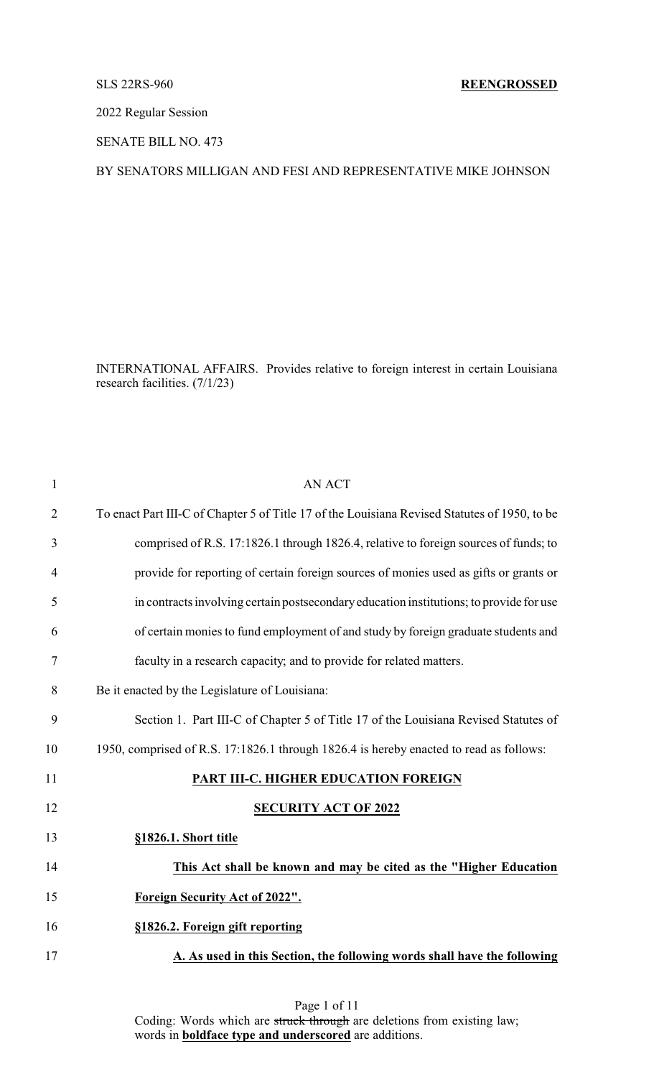2022 Regular Session

SENATE BILL NO. 473

# BY SENATORS MILLIGAN AND FESI AND REPRESENTATIVE MIKE JOHNSON

INTERNATIONAL AFFAIRS. Provides relative to foreign interest in certain Louisiana research facilities. (7/1/23)

| $\mathbf{1}$   | <b>AN ACT</b>                                                                                 |
|----------------|-----------------------------------------------------------------------------------------------|
| $\overline{2}$ | To enact Part III-C of Chapter 5 of Title 17 of the Louisiana Revised Statutes of 1950, to be |
| 3              | comprised of R.S. 17:1826.1 through 1826.4, relative to foreign sources of funds; to          |
| $\overline{4}$ | provide for reporting of certain foreign sources of monies used as gifts or grants or         |
| 5              | in contracts involving certain postsecondary education institutions; to provide for use       |
| 6              | of certain monies to fund employment of and study by foreign graduate students and            |
| 7              | faculty in a research capacity; and to provide for related matters.                           |
| 8              | Be it enacted by the Legislature of Louisiana:                                                |
| 9              | Section 1. Part III-C of Chapter 5 of Title 17 of the Louisiana Revised Statutes of           |
| 10             | 1950, comprised of R.S. 17:1826.1 through 1826.4 is hereby enacted to read as follows:        |
| 11             | PART III-C. HIGHER EDUCATION FOREIGN                                                          |
| 12             | <b>SECURITY ACT OF 2022</b>                                                                   |
| 13             | §1826.1. Short title                                                                          |
| 14             | This Act shall be known and may be cited as the "Higher Education                             |
| 15             | Foreign Security Act of 2022".                                                                |
| 16             | §1826.2. Foreign gift reporting                                                               |
| 17             | A. As used in this Section, the following words shall have the following                      |
|                |                                                                                               |

Page 1 of 11 Coding: Words which are struck through are deletions from existing law; words in **boldface type and underscored** are additions.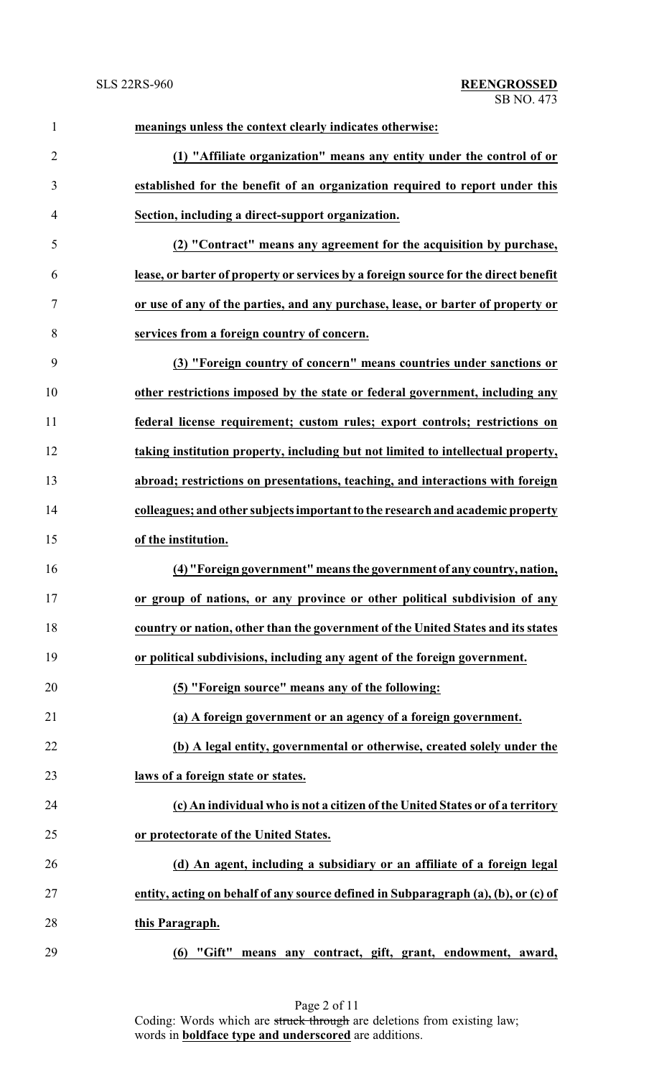| $\mathbf{1}$   | meanings unless the context clearly indicates otherwise:                            |
|----------------|-------------------------------------------------------------------------------------|
| $\overline{2}$ | (1) "Affiliate organization" means any entity under the control of or               |
| 3              | established for the benefit of an organization required to report under this        |
| 4              | Section, including a direct-support organization.                                   |
| 5              | (2) "Contract" means any agreement for the acquisition by purchase,                 |
| 6              | lease, or barter of property or services by a foreign source for the direct benefit |
| 7              | or use of any of the parties, and any purchase, lease, or barter of property or     |
| 8              | services from a foreign country of concern.                                         |
| 9              | (3) "Foreign country of concern" means countries under sanctions or                 |
| 10             | other restrictions imposed by the state or federal government, including any        |
| 11             | federal license requirement; custom rules; export controls; restrictions on         |
| 12             | taking institution property, including but not limited to intellectual property,    |
| 13             | abroad; restrictions on presentations, teaching, and interactions with foreign      |
| 14             | colleagues; and other subjects important to the research and academic property      |
| 15             | of the institution.                                                                 |
| 16             | (4) "Foreign government" means the government of any country, nation,               |
| 17             | or group of nations, or any province or other political subdivision of any          |
| 18             | country or nation, other than the government of the United States and its states    |
| 19             | or political subdivisions, including any agent of the foreign government.           |
| 20             | (5) "Foreign source" means any of the following:                                    |
| 21             | (a) A foreign government or an agency of a foreign government.                      |
| 22             | (b) A legal entity, governmental or otherwise, created solely under the             |
| 23             | laws of a foreign state or states.                                                  |
| 24             | (c) An individual who is not a citizen of the United States or of a territory       |
| 25             | or protectorate of the United States.                                               |
| 26             | (d) An agent, including a subsidiary or an affiliate of a foreign legal             |
| 27             | entity, acting on behalf of any source defined in Subparagraph (a), (b), or (c) of  |
| 28             | this Paragraph.                                                                     |
| 29             | means any contract, gift, grant, endowment, award,<br>$(6)$ "Gift"                  |

Page 2 of 11 Coding: Words which are struck through are deletions from existing law; words in **boldface type and underscored** are additions.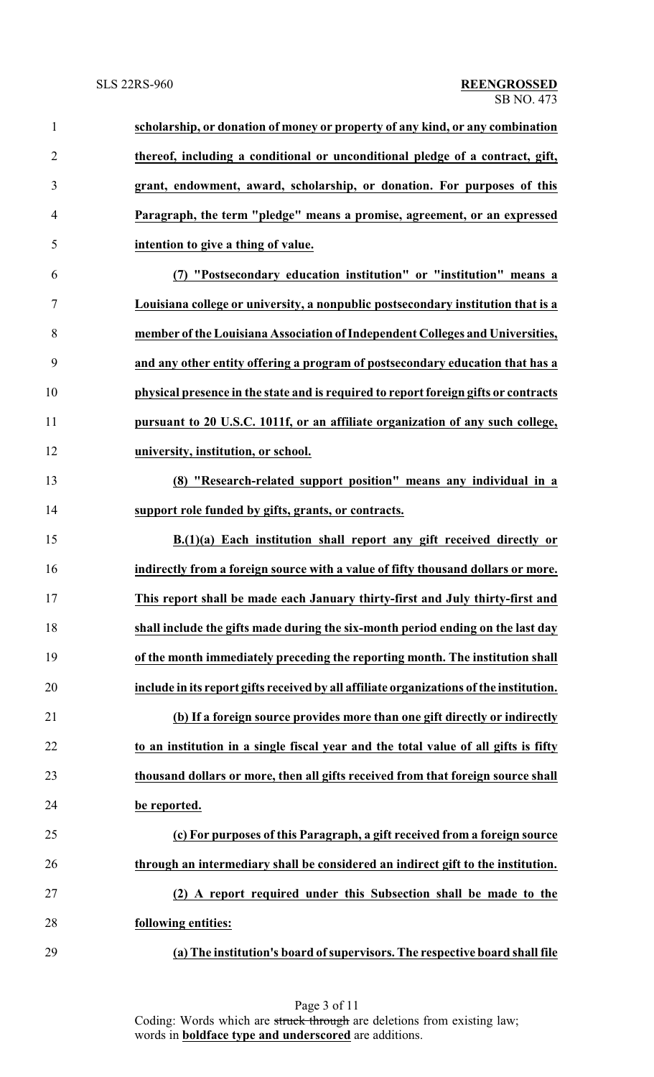| $\mathbf{1}$   | scholarship, or donation of money or property of any kind, or any combination           |
|----------------|-----------------------------------------------------------------------------------------|
| $\overline{2}$ | thereof, including a conditional or unconditional pledge of a contract, gift,           |
| 3              | grant, endowment, award, scholarship, or donation. For purposes of this                 |
| $\overline{4}$ | Paragraph, the term "pledge" means a promise, agreement, or an expressed                |
| 5              | intention to give a thing of value.                                                     |
| 6              | (7) "Postsecondary education institution" or "institution" means a                      |
| 7              | Louisiana college or university, a nonpublic postsecondary institution that is a        |
| 8              | member of the Louisiana Association of Independent Colleges and Universities,           |
| 9              | and any other entity offering a program of postsecondary education that has a           |
| 10             | physical presence in the state and is required to report foreign gifts or contracts     |
| 11             | pursuant to 20 U.S.C. 1011f, or an affiliate organization of any such college,          |
| 12             | university, institution, or school.                                                     |
| 13             | (8) "Research-related support position" means any individual in a                       |
| 14             | support role funded by gifts, grants, or contracts.                                     |
| 15             | B.(1)(a) Each institution shall report any gift received directly or                    |
| 16             | indirectly from a foreign source with a value of fifty thousand dollars or more.        |
| 17             | This report shall be made each January thirty-first and July thirty-first and           |
| 18             | shall include the gifts made during the six-month period ending on the last day         |
| 19             | of the month immediately preceding the reporting month. The institution shall           |
| 20             | include in its report gifts received by all affiliate organizations of the institution. |
| 21             | (b) If a foreign source provides more than one gift directly or indirectly              |
| 22             | to an institution in a single fiscal year and the total value of all gifts is fifty     |
| 23             | thousand dollars or more, then all gifts received from that foreign source shall        |
| 24             | be reported.                                                                            |
| 25             | (c) For purposes of this Paragraph, a gift received from a foreign source               |
| 26             | through an intermediary shall be considered an indirect gift to the institution.        |
| 27             | (2) A report required under this Subsection shall be made to the                        |
| 28             | following entities:                                                                     |
| 29             | (a) The institution's board of supervisors. The respective board shall file             |

Page 3 of 11 Coding: Words which are struck through are deletions from existing law; words in **boldface type and underscored** are additions.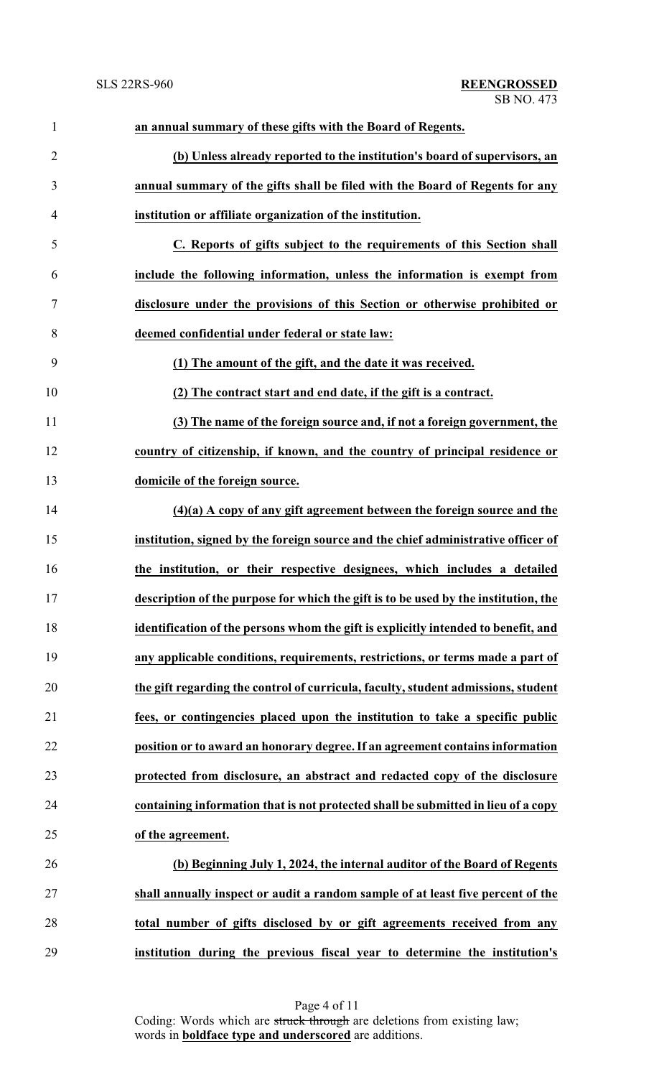| $\mathbf{1}$   | an annual summary of these gifts with the Board of Regents.                         |
|----------------|-------------------------------------------------------------------------------------|
| $\overline{2}$ | (b) Unless already reported to the institution's board of supervisors, an           |
| 3              | annual summary of the gifts shall be filed with the Board of Regents for any        |
| $\overline{4}$ | institution or affiliate organization of the institution.                           |
| 5              | C. Reports of gifts subject to the requirements of this Section shall               |
| 6              | include the following information, unless the information is exempt from            |
| $\tau$         | disclosure under the provisions of this Section or otherwise prohibited or          |
| 8              | deemed confidential under federal or state law:                                     |
| 9              | (1) The amount of the gift, and the date it was received.                           |
| 10             | (2) The contract start and end date, if the gift is a contract.                     |
| 11             | (3) The name of the foreign source and, if not a foreign government, the            |
| 12             | country of citizenship, if known, and the country of principal residence or         |
| 13             | domicile of the foreign source.                                                     |
| 14             | $(4)(a)$ A copy of any gift agreement between the foreign source and the            |
| 15             | institution, signed by the foreign source and the chief administrative officer of   |
| 16             | the institution, or their respective designees, which includes a detailed           |
| 17             | description of the purpose for which the gift is to be used by the institution, the |
| 18             | identification of the persons whom the gift is explicitly intended to benefit, and  |
| 19             | any applicable conditions, requirements, restrictions, or terms made a part of      |
| 20             | the gift regarding the control of curricula, faculty, student admissions, student   |
| 21             | fees, or contingencies placed upon the institution to take a specific public        |
| 22             | position or to award an honorary degree. If an agreement contains information       |
| 23             | protected from disclosure, an abstract and redacted copy of the disclosure          |
| 24             | containing information that is not protected shall be submitted in lieu of a copy   |
| 25             | of the agreement.                                                                   |
| 26             | (b) Beginning July 1, 2024, the internal auditor of the Board of Regents            |
| 27             | shall annually inspect or audit a random sample of at least five percent of the     |
| 28             | total number of gifts disclosed by or gift agreements received from any             |
| 29             | institution during the previous fiscal year to determine the institution's          |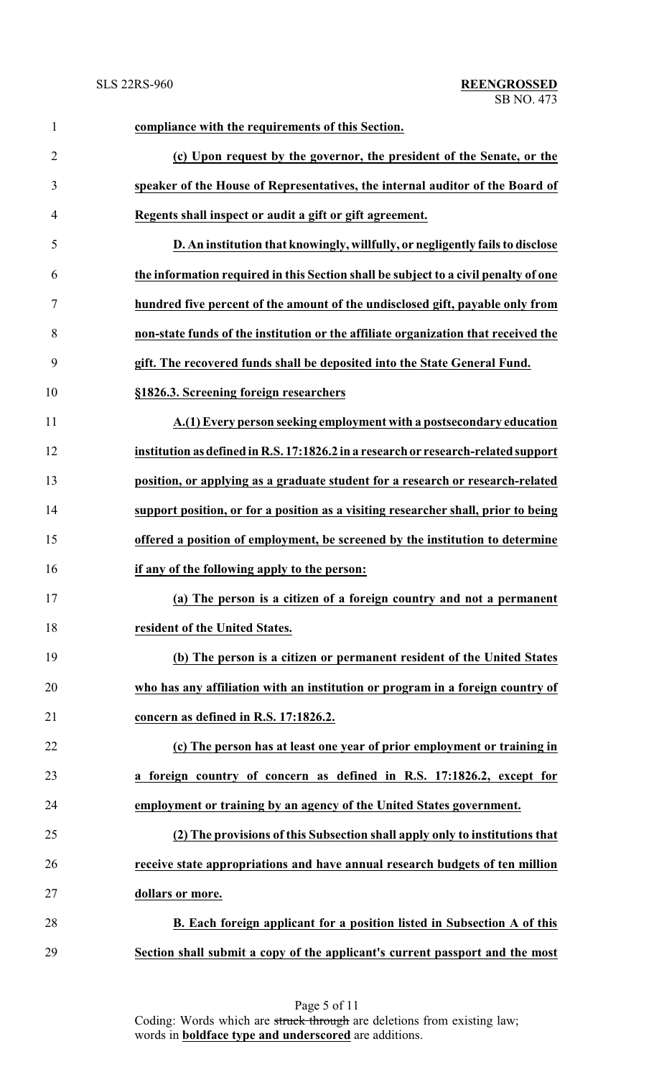| $\mathbf{1}$   | compliance with the requirements of this Section.                                   |
|----------------|-------------------------------------------------------------------------------------|
| $\overline{2}$ | (c) Upon request by the governor, the president of the Senate, or the               |
| 3              | speaker of the House of Representatives, the internal auditor of the Board of       |
| $\overline{4}$ | Regents shall inspect or audit a gift or gift agreement.                            |
| 5              | D. An institution that knowingly, willfully, or negligently fails to disclose       |
| 6              | the information required in this Section shall be subject to a civil penalty of one |
| $\tau$         | hundred five percent of the amount of the undisclosed gift, payable only from       |
| 8              | non-state funds of the institution or the affiliate organization that received the  |
| 9              | gift. The recovered funds shall be deposited into the State General Fund.           |
| 10             | §1826.3. Screening foreign researchers                                              |
| 11             | A.(1) Every person seeking employment with a postsecondary education                |
| 12             | institution as defined in R.S. 17:1826.2 in a research or research-related support  |
| 13             | position, or applying as a graduate student for a research or research-related      |
| 14             | support position, or for a position as a visiting researcher shall, prior to being  |
| 15             | offered a position of employment, be screened by the institution to determine       |
| 16             | if any of the following apply to the person:                                        |
| 17             | (a) The person is a citizen of a foreign country and not a permanent                |
| 18             | resident of the United States.                                                      |
| 19             | (b) The person is a citizen or permanent resident of the United States              |
| 20             | who has any affiliation with an institution or program in a foreign country of      |
| 21             | concern as defined in R.S. 17:1826.2.                                               |
| 22             | (c) The person has at least one year of prior employment or training in             |
| 23             | a foreign country of concern as defined in R.S. 17:1826.2, except for               |
| 24             | employment or training by an agency of the United States government.                |
| 25             | (2) The provisions of this Subsection shall apply only to institutions that         |
| 26             | receive state appropriations and have annual research budgets of ten million        |
| 27             | dollars or more.                                                                    |
| 28             | B. Each foreign applicant for a position listed in Subsection A of this             |
| 29             | Section shall submit a copy of the applicant's current passport and the most        |

Page 5 of 11 Coding: Words which are struck through are deletions from existing law; words in **boldface type and underscored** are additions.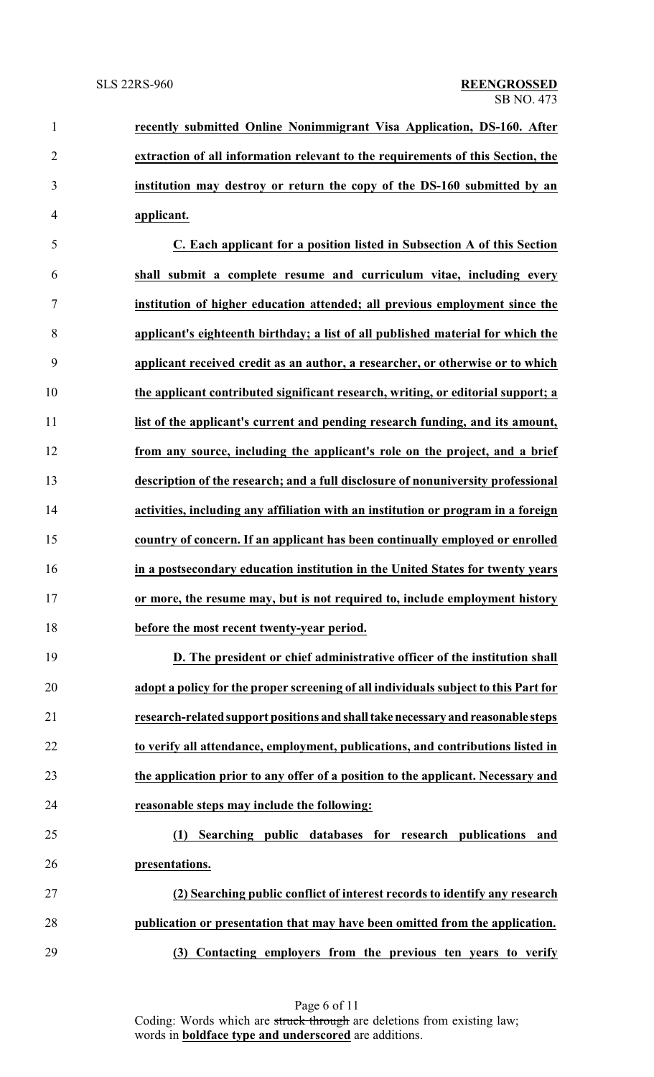**recently submitted Online Nonimmigrant Visa Application, DS-160. After extraction of all information relevant to the requirements of this Section, the institution may destroy or return the copy of the DS-160 submitted by an applicant.**

 **C. Each applicant for a position listed in Subsection A of this Section shall submit a complete resume and curriculum vitae, including every institution of higher education attended; all previous employment since the applicant's eighteenth birthday; a list of all published material for which the applicant received credit as an author, a researcher, or otherwise or to which the applicant contributed significant research, writing, or editorial support; a list of the applicant's current and pending research funding, and its amount, from any source, including the applicant's role on the project, and a brief description of the research; and a full disclosure of nonuniversity professional activities, including any affiliation with an institution or program in a foreign country of concern. If an applicant has been continually employed or enrolled in a postsecondary education institution in the United States for twenty years or more, the resume may, but is not required to, include employment history before the most recent twenty-year period.**

 **D. The president or chief administrative officer of the institution shall adopt a policy for the proper screening of all individuals subject to this Part for research-related support positions and shalltakenecessary and reasonable steps to verify all attendance, employment, publications, and contributions listed in the application prior to any offer of a position to the applicant. Necessary and reasonable steps may include the following:**

# **(1) Searching public databases for research publications and presentations.**

 **(2) Searching public conflict of interest records to identify any research publication or presentation that may have been omitted from the application. (3) Contacting employers from the previous ten years to verify**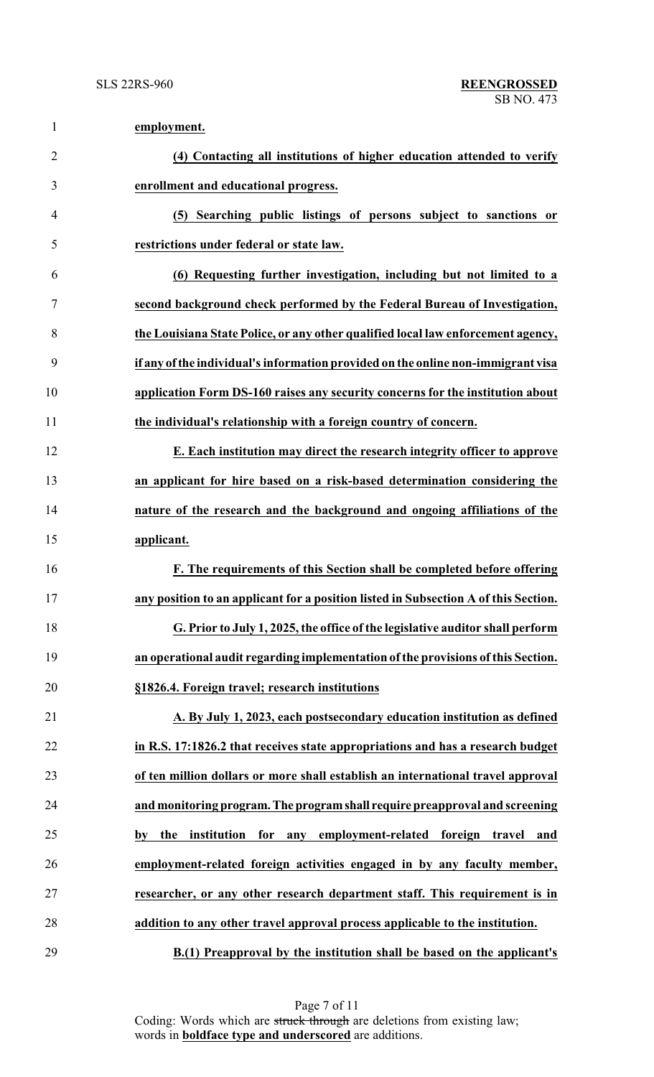| $\mathbf{1}$   | employment.                                                                         |
|----------------|-------------------------------------------------------------------------------------|
| $\overline{2}$ | (4) Contacting all institutions of higher education attended to verify              |
| 3              | enrollment and educational progress.                                                |
| 4              | (5) Searching public listings of persons subject to sanctions or                    |
| 5              | restrictions under federal or state law.                                            |
| 6              | (6) Requesting further investigation, including but not limited to a                |
| 7              | second background check performed by the Federal Bureau of Investigation,           |
| 8              | the Louisiana State Police, or any other qualified local law enforcement agency,    |
| 9              | if any of the individual's information provided on the online non-immigrant visa    |
| 10             | application Form DS-160 raises any security concerns for the institution about      |
| 11             | the individual's relationship with a foreign country of concern.                    |
| 12             | E. Each institution may direct the research integrity officer to approve            |
| 13             | an applicant for hire based on a risk-based determination considering the           |
| 14             | nature of the research and the background and ongoing affiliations of the           |
| 15             | applicant.                                                                          |
| 16             | F. The requirements of this Section shall be completed before offering              |
| 17             | any position to an applicant for a position listed in Subsection A of this Section. |
| 18             | G. Prior to July 1, 2025, the office of the legislative auditor shall perform       |
| 19             | an operational audit regarding implementation of the provisions of this Section.    |
| 20             | §1826.4. Foreign travel; research institutions                                      |
| 21             | A. By July 1, 2023, each postsecondary education institution as defined             |
| 22             | in R.S. 17:1826.2 that receives state appropriations and has a research budget      |
| 23             | of ten million dollars or more shall establish an international travel approval     |
| 24             | and monitoring program. The program shall require preapproval and screening         |
| 25             | for any employment-related foreign travel and<br>the institution<br>by              |
| 26             | employment-related foreign activities engaged in by any faculty member,             |
| 27             | researcher, or any other research department staff. This requirement is in          |
| 28             | addition to any other travel approval process applicable to the institution.        |
| 29             | B.(1) Preapproval by the institution shall be based on the applicant's              |

Page 7 of 11 Coding: Words which are struck through are deletions from existing law; words in **boldface type and underscored** are additions.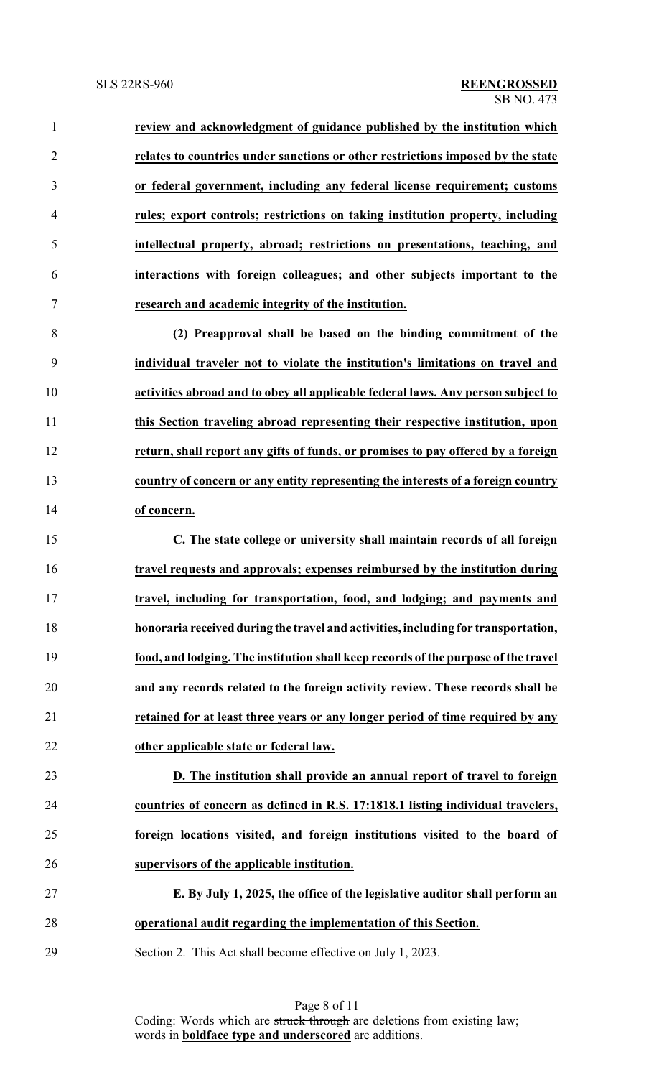**review and acknowledgment of guidance published by the institution which relates to countries under sanctions or other restrictions imposed by the state or federal government, including any federal license requirement; customs rules; export controls; restrictions on taking institution property, including intellectual property, abroad; restrictions on presentations, teaching, and interactions with foreign colleagues; and other subjects important to the research and academic integrity of the institution. (2) Preapproval shall be based on the binding commitment of the individual traveler not to violate the institution's limitations on travel and activities abroad and to obey all applicable federal laws. Any person subject to this Section traveling abroad representing their respective institution, upon**

 **return, shall report any gifts of funds, or promises to pay offered by a foreign country of concern or any entity representing the interests of a foreign country of concern.**

 **C. The state college or university shall maintain records of all foreign travel requests and approvals; expenses reimbursed by the institution during travel, including for transportation, food, and lodging; and payments and honoraria received during the travel and activities, including for transportation, food, and lodging. The institution shall keep records of the purpose of the travel and any records related to the foreign activity review. These records shall be retained for at least three years or any longer period of time required by any other applicable state or federal law.**

 **D. The institution shall provide an annual report of travel to foreign countries of concern as defined in R.S. 17:1818.1 listing individual travelers, foreign locations visited, and foreign institutions visited to the board of supervisors of the applicable institution.**

 **E. By July 1, 2025, the office of the legislative auditor shall perform an operational audit regarding the implementation of this Section.**

Section 2. This Act shall become effective on July 1, 2023.

Page 8 of 11 Coding: Words which are struck through are deletions from existing law; words in **boldface type and underscored** are additions.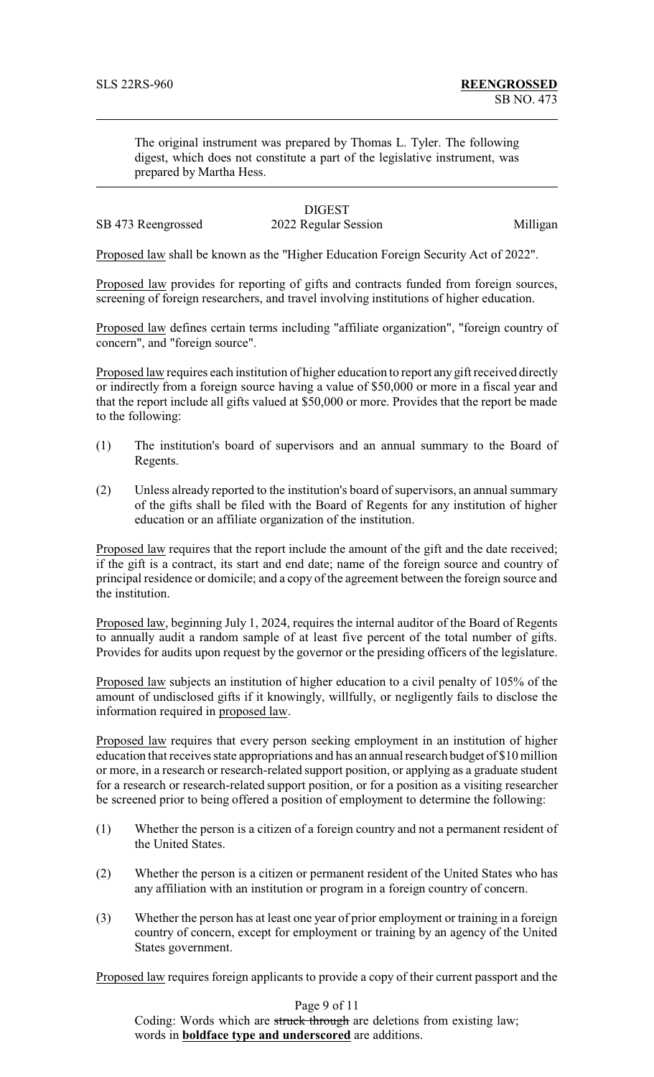The original instrument was prepared by Thomas L. Tyler. The following digest, which does not constitute a part of the legislative instrument, was prepared by Martha Hess.

# **DIGEST**

SB 473 Reengrossed 2022 Regular Session Milligan

Proposed law shall be known as the "Higher Education Foreign Security Act of 2022".

Proposed law provides for reporting of gifts and contracts funded from foreign sources, screening of foreign researchers, and travel involving institutions of higher education.

Proposed law defines certain terms including "affiliate organization", "foreign country of concern", and "foreign source".

Proposed law requires each institution of higher education to report any gift received directly or indirectly from a foreign source having a value of \$50,000 or more in a fiscal year and that the report include all gifts valued at \$50,000 or more. Provides that the report be made to the following:

- (1) The institution's board of supervisors and an annual summary to the Board of Regents.
- (2) Unless already reported to the institution's board of supervisors, an annual summary of the gifts shall be filed with the Board of Regents for any institution of higher education or an affiliate organization of the institution.

Proposed law requires that the report include the amount of the gift and the date received; if the gift is a contract, its start and end date; name of the foreign source and country of principal residence or domicile; and a copy of the agreement between the foreign source and the institution.

Proposed law, beginning July 1, 2024, requires the internal auditor of the Board of Regents to annually audit a random sample of at least five percent of the total number of gifts. Provides for audits upon request by the governor or the presiding officers of the legislature.

Proposed law subjects an institution of higher education to a civil penalty of 105% of the amount of undisclosed gifts if it knowingly, willfully, or negligently fails to disclose the information required in proposed law.

Proposed law requires that every person seeking employment in an institution of higher education that receives state appropriations and has an annual research budget of \$10 million or more, in a research or research-related support position, or applying as a graduate student for a research or research-related support position, or for a position as a visiting researcher be screened prior to being offered a position of employment to determine the following:

- (1) Whether the person is a citizen of a foreign country and not a permanent resident of the United States.
- (2) Whether the person is a citizen or permanent resident of the United States who has any affiliation with an institution or program in a foreign country of concern.
- (3) Whether the person has at least one year of prior employment or training in a foreign country of concern, except for employment or training by an agency of the United States government.

Proposed law requires foreign applicants to provide a copy of their current passport and the

Page 9 of 11

Coding: Words which are struck through are deletions from existing law; words in **boldface type and underscored** are additions.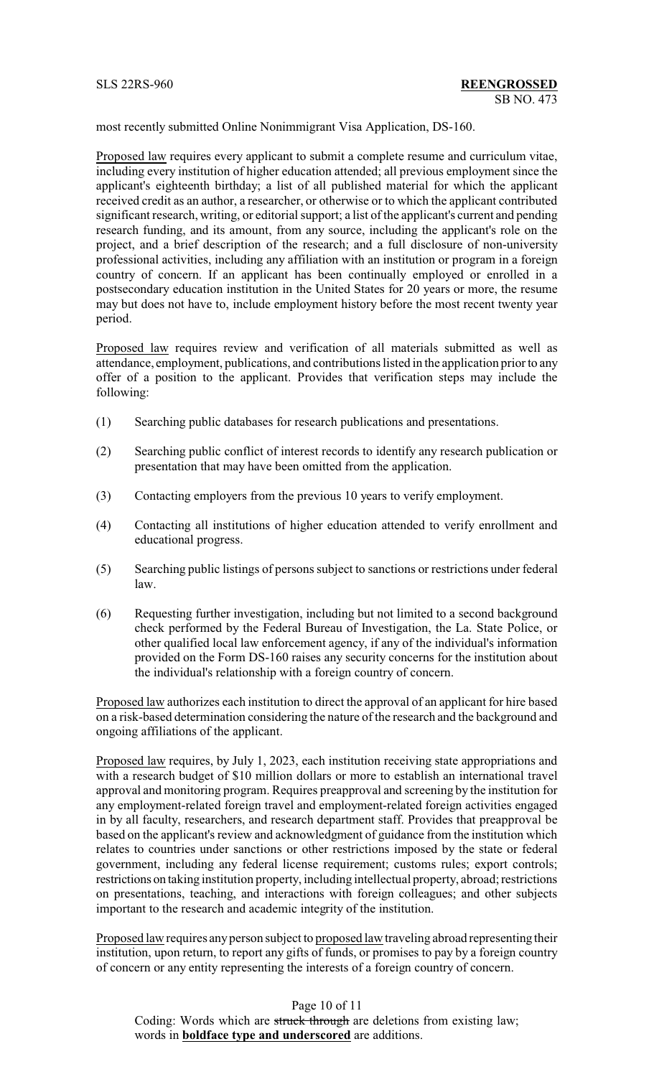most recently submitted Online Nonimmigrant Visa Application, DS-160.

Proposed law requires every applicant to submit a complete resume and curriculum vitae, including every institution of higher education attended; all previous employment since the applicant's eighteenth birthday; a list of all published material for which the applicant received credit as an author, a researcher, or otherwise or to which the applicant contributed significant research, writing, or editorial support; a list of the applicant's current and pending research funding, and its amount, from any source, including the applicant's role on the project, and a brief description of the research; and a full disclosure of non-university professional activities, including any affiliation with an institution or program in a foreign country of concern. If an applicant has been continually employed or enrolled in a postsecondary education institution in the United States for 20 years or more, the resume may but does not have to, include employment history before the most recent twenty year period.

Proposed law requires review and verification of all materials submitted as well as attendance, employment, publications, and contributions listed in the application prior to any offer of a position to the applicant. Provides that verification steps may include the following:

- (1) Searching public databases for research publications and presentations.
- (2) Searching public conflict of interest records to identify any research publication or presentation that may have been omitted from the application.
- (3) Contacting employers from the previous 10 years to verify employment.
- (4) Contacting all institutions of higher education attended to verify enrollment and educational progress.
- (5) Searching public listings of persons subject to sanctions or restrictions under federal law.
- (6) Requesting further investigation, including but not limited to a second background check performed by the Federal Bureau of Investigation, the La. State Police, or other qualified local law enforcement agency, if any of the individual's information provided on the Form DS-160 raises any security concerns for the institution about the individual's relationship with a foreign country of concern.

Proposed law authorizes each institution to direct the approval of an applicant for hire based on a risk-based determination considering the nature of the research and the background and ongoing affiliations of the applicant.

Proposed law requires, by July 1, 2023, each institution receiving state appropriations and with a research budget of \$10 million dollars or more to establish an international travel approval and monitoring program. Requires preapproval and screening by the institution for any employment-related foreign travel and employment-related foreign activities engaged in by all faculty, researchers, and research department staff. Provides that preapproval be based on the applicant's review and acknowledgment of guidance from the institution which relates to countries under sanctions or other restrictions imposed by the state or federal government, including any federal license requirement; customs rules; export controls; restrictions on taking institution property, including intellectual property, abroad; restrictions on presentations, teaching, and interactions with foreign colleagues; and other subjects important to the research and academic integrity of the institution.

Proposed law requires any person subject to proposed law traveling abroad representing their institution, upon return, to report any gifts of funds, or promises to pay by a foreign country of concern or any entity representing the interests of a foreign country of concern.

Page 10 of 11 Coding: Words which are struck through are deletions from existing law; words in **boldface type and underscored** are additions.